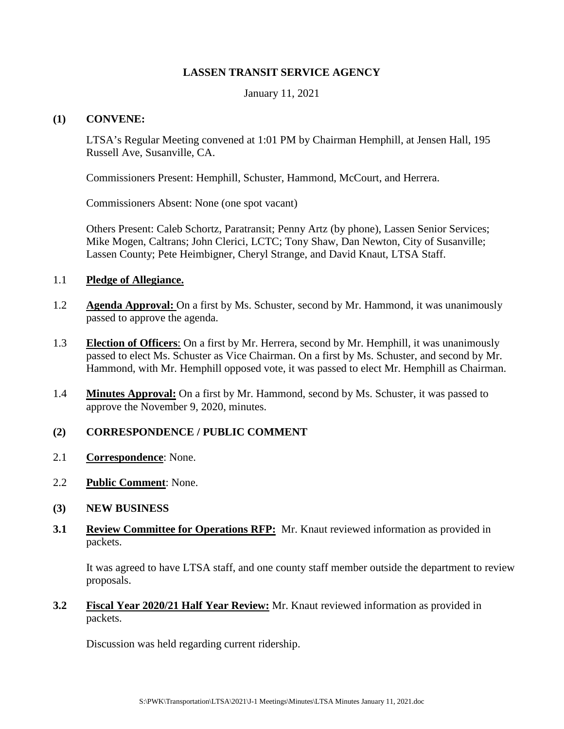### **LASSEN TRANSIT SERVICE AGENCY**

January 11, 2021

### **(1) CONVENE:**

LTSA's Regular Meeting convened at 1:01 PM by Chairman Hemphill, at Jensen Hall, 195 Russell Ave, Susanville, CA.

Commissioners Present: Hemphill, Schuster, Hammond, McCourt, and Herrera.

Commissioners Absent: None (one spot vacant)

Others Present: Caleb Schortz, Paratransit; Penny Artz (by phone), Lassen Senior Services; Mike Mogen, Caltrans; John Clerici, LCTC; Tony Shaw, Dan Newton, City of Susanville; Lassen County; Pete Heimbigner, Cheryl Strange, and David Knaut, LTSA Staff.

#### 1.1 **Pledge of Allegiance.**

- 1.2 **Agenda Approval:** On a first by Ms. Schuster, second by Mr. Hammond, it was unanimously passed to approve the agenda.
- 1.3 **Election of Officers**: On a first by Mr. Herrera, second by Mr. Hemphill, it was unanimously passed to elect Ms. Schuster as Vice Chairman. On a first by Ms. Schuster, and second by Mr. Hammond, with Mr. Hemphill opposed vote, it was passed to elect Mr. Hemphill as Chairman.
- 1.4 **Minutes Approval:** On a first by Mr. Hammond, second by Ms. Schuster, it was passed to approve the November 9, 2020, minutes.

## **(2) CORRESPONDENCE / PUBLIC COMMENT**

- 2.1 **Correspondence**: None.
- 2.2 **Public Comment**: None.
- **(3) NEW BUSINESS**
- **3.1 Review Committee for Operations RFP:** Mr. Knaut reviewed information as provided in packets.

It was agreed to have LTSA staff, and one county staff member outside the department to review proposals.

**3.2 Fiscal Year 2020/21 Half Year Review:** Mr. Knaut reviewed information as provided in packets.

Discussion was held regarding current ridership.